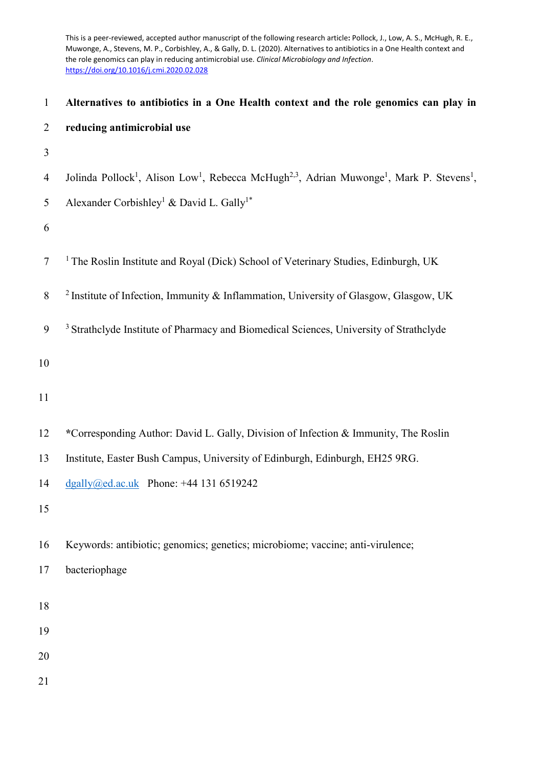This is a peer-reviewed, accepted author manuscript of the following research article**:** Pollock, J., Low, A. S., McHugh, R. E., Muwonge, A., Stevens, M. P., Corbishley, A., & Gally, D. L. (2020). Alternatives to antibiotics in a One Health context and the role genomics can play in reducing antimicrobial use. *Clinical Microbiology and Infection*. <https://doi.org/10.1016/j.cmi.2020.02.028>

| $\mathbf{1}$   | Alternatives to antibiotics in a One Health context and the role genomics can play in                                                                 |
|----------------|-------------------------------------------------------------------------------------------------------------------------------------------------------|
| $\overline{2}$ | reducing antimicrobial use                                                                                                                            |
| 3              |                                                                                                                                                       |
| $\overline{4}$ | Jolinda Pollock <sup>1</sup> , Alison Low <sup>1</sup> , Rebecca McHugh <sup>2,3</sup> , Adrian Muwonge <sup>1</sup> , Mark P. Stevens <sup>1</sup> , |
| 5              | Alexander Corbishley <sup>1</sup> & David L. Gally <sup>1*</sup>                                                                                      |
| 6              |                                                                                                                                                       |
| $\tau$         | <sup>1</sup> The Roslin Institute and Royal (Dick) School of Veterinary Studies, Edinburgh, UK                                                        |
| $8\,$          | <sup>2</sup> Institute of Infection, Immunity & Inflammation, University of Glasgow, Glasgow, UK                                                      |
| 9              | <sup>3</sup> Strathclyde Institute of Pharmacy and Biomedical Sciences, University of Strathclyde                                                     |
| 10             |                                                                                                                                                       |
| 11             |                                                                                                                                                       |
| 12             | *Corresponding Author: David L. Gally, Division of Infection & Immunity, The Roslin                                                                   |
| 13             | Institute, Easter Bush Campus, University of Edinburgh, Edinburgh, EH25 9RG.                                                                          |
| 14             | $\frac{dqally}{\omega}$ ed.ac.uk Phone: +44 131 6519242                                                                                               |
| 15             |                                                                                                                                                       |
| 16             | Keywords: antibiotic; genomics; genetics; microbiome; vaccine; anti-virulence;                                                                        |
| 17             | bacteriophage                                                                                                                                         |
| 18             |                                                                                                                                                       |
| 19             |                                                                                                                                                       |
| 20             |                                                                                                                                                       |
| 21             |                                                                                                                                                       |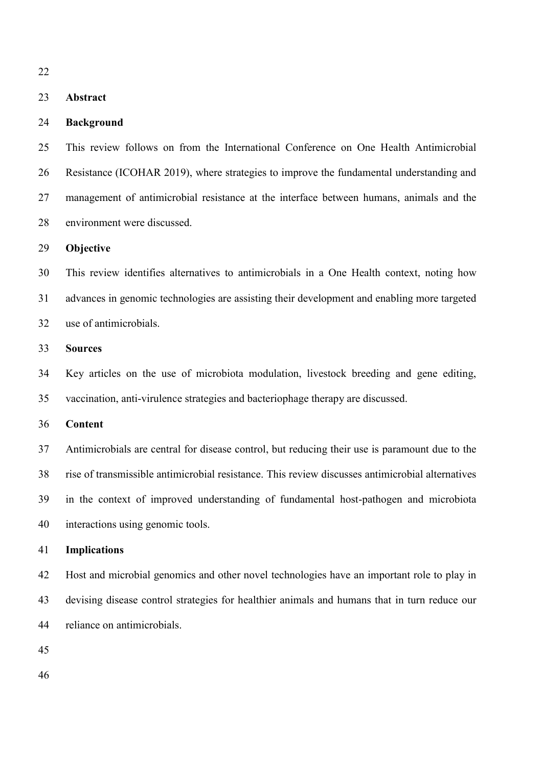#### **Abstract**

#### **Background**

 This review follows on from the International Conference on One Health Antimicrobial Resistance (ICOHAR 2019), where strategies to improve the fundamental understanding and management of antimicrobial resistance at the interface between humans, animals and the environment were discussed.

### **Objective**

 This review identifies alternatives to antimicrobials in a One Health context, noting how advances in genomic technologies are assisting their development and enabling more targeted use of antimicrobials.

# **Sources**

 Key articles on the use of microbiota modulation, livestock breeding and gene editing, vaccination, anti-virulence strategies and bacteriophage therapy are discussed.

#### **Content**

 Antimicrobials are central for disease control, but reducing their use is paramount due to the rise of transmissible antimicrobial resistance. This review discusses antimicrobial alternatives in the context of improved understanding of fundamental host-pathogen and microbiota interactions using genomic tools.

#### **Implications**

 Host and microbial genomics and other novel technologies have an important role to play in devising disease control strategies for healthier animals and humans that in turn reduce our reliance on antimicrobials.

- 
-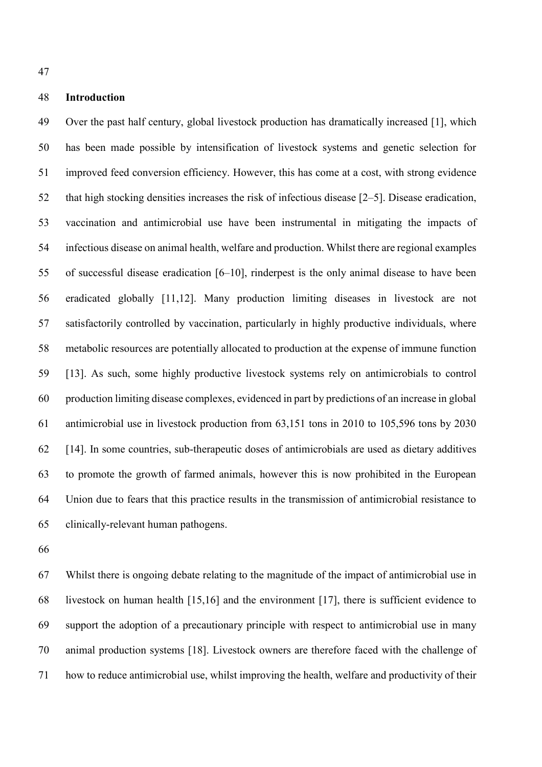# **Introduction**

 Over the past half century, global livestock production has dramatically increased [1], which has been made possible by intensification of livestock systems and genetic selection for improved feed conversion efficiency. However, this has come at a cost, with strong evidence that high stocking densities increases the risk of infectious disease [2–5]. Disease eradication, vaccination and antimicrobial use have been instrumental in mitigating the impacts of infectious disease on animal health, welfare and production. Whilst there are regional examples of successful disease eradication [6–10], rinderpest is the only animal disease to have been eradicated globally [11,12]. Many production limiting diseases in livestock are not satisfactorily controlled by vaccination, particularly in highly productive individuals, where metabolic resources are potentially allocated to production at the expense of immune function [13]. As such, some highly productive livestock systems rely on antimicrobials to control production limiting disease complexes, evidenced in part by predictions of an increase in global antimicrobial use in livestock production from 63,151 tons in 2010 to 105,596 tons by 2030 [14]. In some countries, sub-therapeutic doses of antimicrobials are used as dietary additives to promote the growth of farmed animals, however this is now prohibited in the European Union due to fears that this practice results in the transmission of antimicrobial resistance to clinically-relevant human pathogens.

 Whilst there is ongoing debate relating to the magnitude of the impact of antimicrobial use in livestock on human health [15,16] and the environment [17], there is sufficient evidence to support the adoption of a precautionary principle with respect to antimicrobial use in many animal production systems [18]. Livestock owners are therefore faced with the challenge of how to reduce antimicrobial use, whilst improving the health, welfare and productivity of their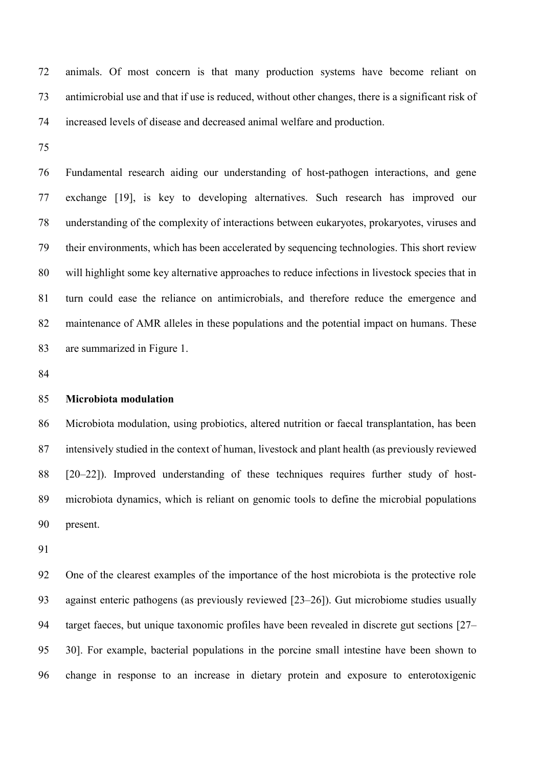animals. Of most concern is that many production systems have become reliant on antimicrobial use and that if use is reduced, without other changes, there is a significant risk of increased levels of disease and decreased animal welfare and production.

 Fundamental research aiding our understanding of host-pathogen interactions, and gene exchange [19], is key to developing alternatives. Such research has improved our understanding of the complexity of interactions between eukaryotes, prokaryotes, viruses and their environments, which has been accelerated by sequencing technologies. This short review will highlight some key alternative approaches to reduce infections in livestock species that in turn could ease the reliance on antimicrobials, and therefore reduce the emergence and maintenance of AMR alleles in these populations and the potential impact on humans. These are summarized in Figure 1.

#### **Microbiota modulation**

 Microbiota modulation, using probiotics, altered nutrition or faecal transplantation, has been intensively studied in the context of human, livestock and plant health (as previously reviewed [20–22]). Improved understanding of these techniques requires further study of host- microbiota dynamics, which is reliant on genomic tools to define the microbial populations present.

 One of the clearest examples of the importance of the host microbiota is the protective role against enteric pathogens (as previously reviewed [23–26]). Gut microbiome studies usually target faeces, but unique taxonomic profiles have been revealed in discrete gut sections [27– 30]. For example, bacterial populations in the porcine small intestine have been shown to change in response to an increase in dietary protein and exposure to enterotoxigenic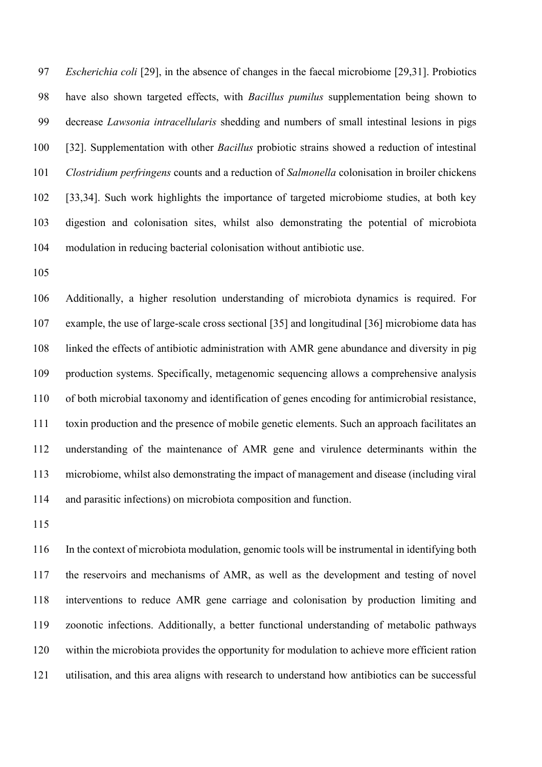*Escherichia coli* [29], in the absence of changes in the faecal microbiome [29,31]. Probiotics have also shown targeted effects, with *Bacillus pumilus* supplementation being shown to decrease *Lawsonia intracellularis* shedding and numbers of small intestinal lesions in pigs [32]. Supplementation with other *Bacillus* probiotic strains showed a reduction of intestinal *Clostridium perfringens* counts and a reduction of *Salmonella* colonisation in broiler chickens [33,34]. Such work highlights the importance of targeted microbiome studies, at both key digestion and colonisation sites, whilst also demonstrating the potential of microbiota modulation in reducing bacterial colonisation without antibiotic use.

 Additionally, a higher resolution understanding of microbiota dynamics is required. For example, the use of large-scale cross sectional [35] and longitudinal [36] microbiome data has linked the effects of antibiotic administration with AMR gene abundance and diversity in pig production systems. Specifically, metagenomic sequencing allows a comprehensive analysis of both microbial taxonomy and identification of genes encoding for antimicrobial resistance, toxin production and the presence of mobile genetic elements. Such an approach facilitates an understanding of the maintenance of AMR gene and virulence determinants within the microbiome, whilst also demonstrating the impact of management and disease (including viral and parasitic infections) on microbiota composition and function.

 In the context of microbiota modulation, genomic tools will be instrumental in identifying both the reservoirs and mechanisms of AMR, as well as the development and testing of novel interventions to reduce AMR gene carriage and colonisation by production limiting and zoonotic infections. Additionally, a better functional understanding of metabolic pathways within the microbiota provides the opportunity for modulation to achieve more efficient ration utilisation, and this area aligns with research to understand how antibiotics can be successful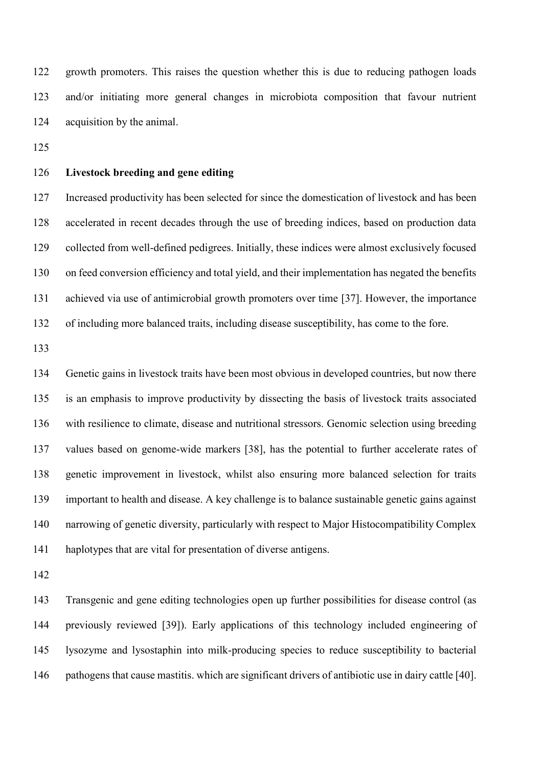growth promoters. This raises the question whether this is due to reducing pathogen loads and/or initiating more general changes in microbiota composition that favour nutrient acquisition by the animal.

# **Livestock breeding and gene editing**

 Increased productivity has been selected for since the domestication of livestock and has been accelerated in recent decades through the use of breeding indices, based on production data collected from well-defined pedigrees. Initially, these indices were almost exclusively focused on feed conversion efficiency and total yield, and their implementation has negated the benefits achieved via use of antimicrobial growth promoters over time [37]. However, the importance of including more balanced traits, including disease susceptibility, has come to the fore.

 Genetic gains in livestock traits have been most obvious in developed countries, but now there is an emphasis to improve productivity by dissecting the basis of livestock traits associated with resilience to climate, disease and nutritional stressors. Genomic selection using breeding values based on genome-wide markers [38], has the potential to further accelerate rates of genetic improvement in livestock, whilst also ensuring more balanced selection for traits important to health and disease. A key challenge is to balance sustainable genetic gains against narrowing of genetic diversity, particularly with respect to Major Histocompatibility Complex haplotypes that are vital for presentation of diverse antigens.

 Transgenic and gene editing technologies open up further possibilities for disease control (as previously reviewed [39]). Early applications of this technology included engineering of lysozyme and lysostaphin into milk-producing species to reduce susceptibility to bacterial pathogens that cause mastitis. which are significant drivers of antibiotic use in dairy cattle [40].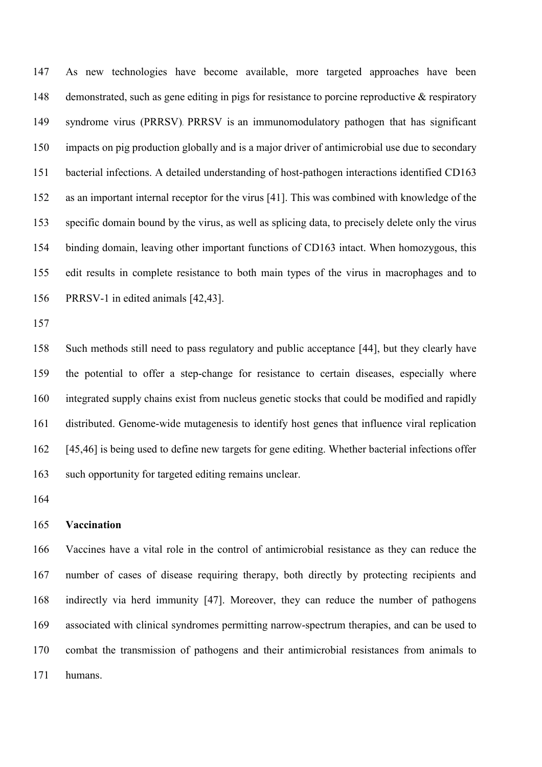As new technologies have become available, more targeted approaches have been 148 demonstrated, such as gene editing in pigs for resistance to porcine reproductive & respiratory syndrome virus (PRRSV). PRRSV is an immunomodulatory pathogen that has significant impacts on pig production globally and is a major driver of antimicrobial use due to secondary bacterial infections. A detailed understanding of host-pathogen interactions identified CD163 as an important internal receptor for the virus [41]. This was combined with knowledge of the specific domain bound by the virus, as well as splicing data, to precisely delete only the virus binding domain, leaving other important functions of CD163 intact. When homozygous, this edit results in complete resistance to both main types of the virus in macrophages and to PRRSV-1 in edited animals [42,43].

 Such methods still need to pass regulatory and public acceptance [44], but they clearly have the potential to offer a step-change for resistance to certain diseases, especially where integrated supply chains exist from nucleus genetic stocks that could be modified and rapidly distributed. Genome-wide mutagenesis to identify host genes that influence viral replication [45,46] is being used to define new targets for gene editing. Whether bacterial infections offer such opportunity for targeted editing remains unclear.

#### **Vaccination**

 Vaccines have a vital role in the control of antimicrobial resistance as they can reduce the number of cases of disease requiring therapy, both directly by protecting recipients and indirectly via herd immunity [47]. Moreover, they can reduce the number of pathogens associated with clinical syndromes permitting narrow-spectrum therapies, and can be used to combat the transmission of pathogens and their antimicrobial resistances from animals to humans.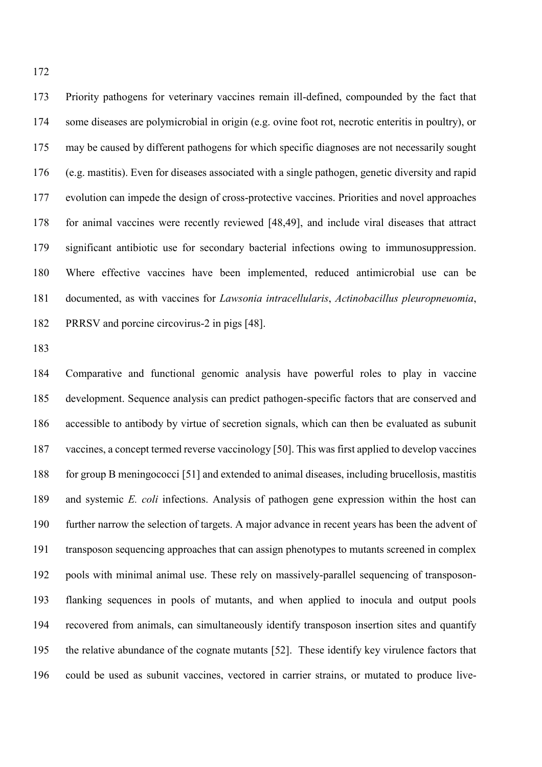Priority pathogens for veterinary vaccines remain ill-defined, compounded by the fact that some diseases are polymicrobial in origin (e.g. ovine foot rot, necrotic enteritis in poultry), or may be caused by different pathogens for which specific diagnoses are not necessarily sought (e.g. mastitis). Even for diseases associated with a single pathogen, genetic diversity and rapid evolution can impede the design of cross-protective vaccines. Priorities and novel approaches for animal vaccines were recently reviewed [48,49], and include viral diseases that attract significant antibiotic use for secondary bacterial infections owing to immunosuppression. Where effective vaccines have been implemented, reduced antimicrobial use can be documented, as with vaccines for *Lawsonia intracellularis*, *Actinobacillus pleuropneuomia*, PRRSV and porcine circovirus-2 in pigs [48].

 Comparative and functional genomic analysis have powerful roles to play in vaccine development. Sequence analysis can predict pathogen-specific factors that are conserved and accessible to antibody by virtue of secretion signals, which can then be evaluated as subunit vaccines, a concept termed reverse vaccinology [50]. This was first applied to develop vaccines for group B meningococci [51] and extended to animal diseases, including brucellosis, mastitis and systemic *E. coli* infections. Analysis of pathogen gene expression within the host can further narrow the selection of targets. A major advance in recent years has been the advent of transposon sequencing approaches that can assign phenotypes to mutants screened in complex pools with minimal animal use. These rely on massively-parallel sequencing of transposon- flanking sequences in pools of mutants, and when applied to inocula and output pools recovered from animals, can simultaneously identify transposon insertion sites and quantify the relative abundance of the cognate mutants [52]. These identify key virulence factors that could be used as subunit vaccines, vectored in carrier strains, or mutated to produce live-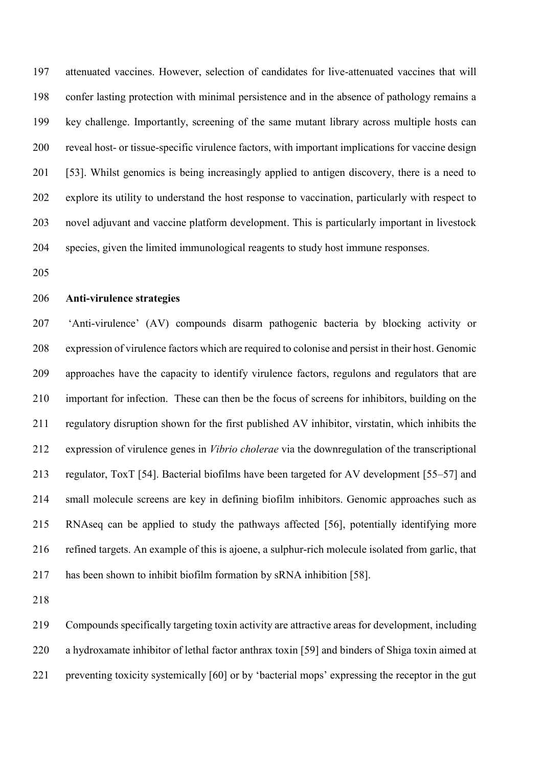attenuated vaccines. However, selection of candidates for live-attenuated vaccines that will confer lasting protection with minimal persistence and in the absence of pathology remains a key challenge. Importantly, screening of the same mutant library across multiple hosts can reveal host- or tissue-specific virulence factors, with important implications for vaccine design [53]. Whilst genomics is being increasingly applied to antigen discovery, there is a need to explore its utility to understand the host response to vaccination, particularly with respect to novel adjuvant and vaccine platform development. This is particularly important in livestock species, given the limited immunological reagents to study host immune responses.

# **Anti-virulence strategies**

 'Anti-virulence' (AV) compounds disarm pathogenic bacteria by blocking activity or expression of virulence factors which are required to colonise and persist in their host. Genomic approaches have the capacity to identify virulence factors, regulons and regulators that are important for infection. These can then be the focus of screens for inhibitors, building on the regulatory disruption shown for the first published AV inhibitor, virstatin, which inhibits the expression of virulence genes in *Vibrio cholerae* via the downregulation of the transcriptional regulator, ToxT [54]. Bacterial biofilms have been targeted for AV development [55–57] and small molecule screens are key in defining biofilm inhibitors. Genomic approaches such as RNAseq can be applied to study the pathways affected [56], potentially identifying more refined targets. An example of this is ajoene, a sulphur-rich molecule isolated from garlic, that has been shown to inhibit biofilm formation by sRNA inhibition [58].

 Compounds specifically targeting toxin activity are attractive areas for development, including a hydroxamate inhibitor of lethal factor anthrax toxin [59] and binders of Shiga toxin aimed at preventing toxicity systemically [60] or by 'bacterial mops' expressing the receptor in the gut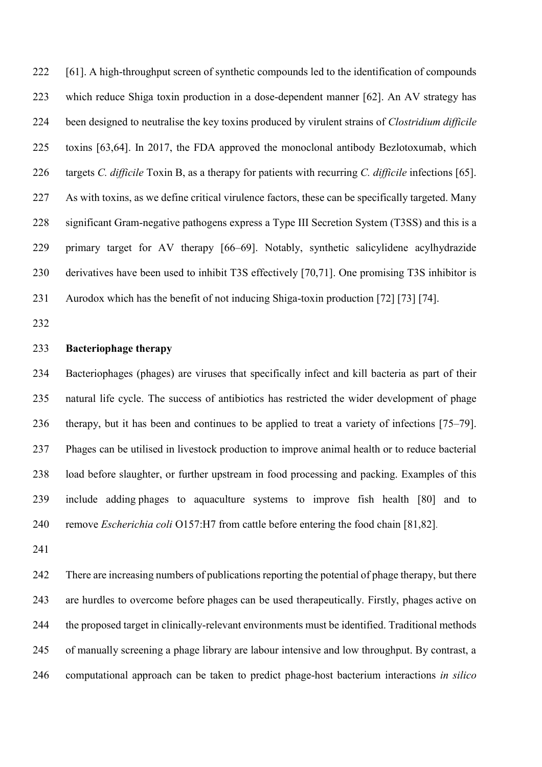[61]. A high-throughput screen of synthetic compounds led to the identification of compounds which reduce Shiga toxin production in a dose-dependent manner [62]. An AV strategy has been designed to neutralise the key toxins produced by virulent strains of *Clostridium difficile* toxins [63,64]. In 2017, the FDA approved the monoclonal antibody Bezlotoxumab, which targets *C. difficile* Toxin B, as a therapy for patients with recurring *C. difficile* infections [65]. As with toxins, as we define critical virulence factors, these can be specifically targeted. Many significant Gram-negative pathogens express a Type III Secretion System (T3SS) and this is a primary target for AV therapy [66–69]. Notably, synthetic salicylidene acylhydrazide derivatives have been used to inhibit T3S effectively [70,71]. One promising T3S inhibitor is Aurodox which has the benefit of not inducing Shiga-toxin production [72] [73] [74].

### **Bacteriophage therapy**

 Bacteriophages (phages) are viruses that specifically infect and kill bacteria as part of their natural life cycle. The success of antibiotics has restricted the wider development of phage therapy, but it has been and continues to be applied to treat a variety of infections [75–79]. Phages can be utilised in livestock production to improve animal health or to reduce bacterial load before slaughter, or further upstream in food processing and packing. Examples of this include adding phages to aquaculture systems to improve fish health [80] and to remove *Escherichia coli* O157:H7 from cattle before entering the food chain [81,82].

 There are increasing numbers of publications reporting the potential of phage therapy, but there are hurdles to overcome before phages can be used therapeutically. Firstly, phages active on the proposed target in clinically-relevant environments must be identified. Traditional methods of manually screening a phage library are labour intensive and low throughput. By contrast, a computational approach can be taken to predict phage-host bacterium interactions *in silico*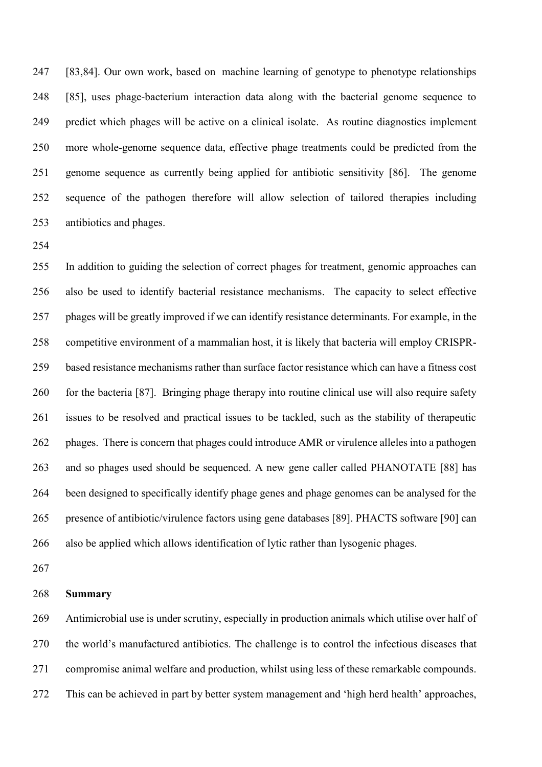[83,84]. Our own work, based on machine learning of genotype to phenotype relationships [85], uses phage-bacterium interaction data along with the bacterial genome sequence to predict which phages will be active on a clinical isolate. As routine diagnostics implement more whole-genome sequence data, effective phage treatments could be predicted from the genome sequence as currently being applied for antibiotic sensitivity [86]. The genome sequence of the pathogen therefore will allow selection of tailored therapies including antibiotics and phages.

 In addition to guiding the selection of correct phages for treatment, genomic approaches can also be used to identify bacterial resistance mechanisms. The capacity to select effective phages will be greatly improved if we can identify resistance determinants. For example, in the competitive environment of a mammalian host, it is likely that bacteria will employ CRISPR- based resistance mechanisms rather than surface factor resistance which can have a fitness cost 260 for the bacteria [87]. Bringing phage therapy into routine clinical use will also require safety issues to be resolved and practical issues to be tackled, such as the stability of therapeutic phages. There is concern that phages could introduce AMR or virulence alleles into a pathogen and so phages used should be sequenced. A new gene caller called PHANOTATE [88] has been designed to specifically identify phage genes and phage genomes can be analysed for the presence of antibiotic/virulence factors using gene databases [89]. PHACTS software [90] can also be applied which allows identification of lytic rather than lysogenic phages.

# **Summary**

 Antimicrobial use is under scrutiny, especially in production animals which utilise over half of the world's manufactured antibiotics. The challenge is to control the infectious diseases that compromise animal welfare and production, whilst using less of these remarkable compounds. This can be achieved in part by better system management and 'high herd health' approaches,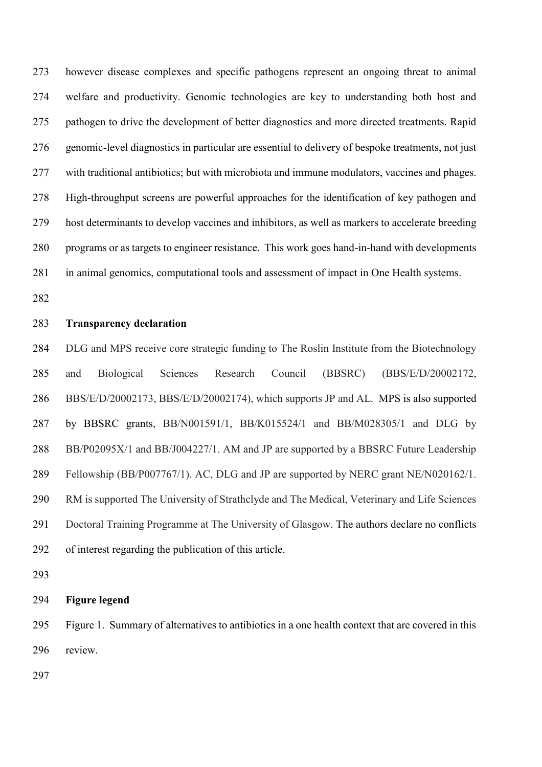however disease complexes and specific pathogens represent an ongoing threat to animal welfare and productivity. Genomic technologies are key to understanding both host and pathogen to drive the development of better diagnostics and more directed treatments. Rapid genomic-level diagnostics in particular are essential to delivery of bespoke treatments, not just with traditional antibiotics; but with microbiota and immune modulators, vaccines and phages. High-throughput screens are powerful approaches for the identification of key pathogen and host determinants to develop vaccines and inhibitors, as well as markers to accelerate breeding programs or as targets to engineer resistance. This work goes hand-in-hand with developments in animal genomics, computational tools and assessment of impact in One Health systems.

# **Transparency declaration**

 DLG and MPS receive core strategic funding to The Roslin Institute from the Biotechnology and Biological Sciences Research Council (BBSRC) (BBS/E/D/20002172, BBS/E/D/20002173, BBS/E/D/20002174), which supports JP and AL. MPS is also supported by BBSRC grants, BB/N001591/1, BB/K015524/1 and BB/M028305/1 and DLG by 288 BB/P02095X/1 and BB/J004227/1. AM and JP are supported by a BBSRC Future Leadership Fellowship (BB/P007767/1). AC, DLG and JP are supported by NERC grant NE/N020162/1. RM is supported The University of Strathclyde and The Medical, Veterinary and Life Sciences Doctoral Training Programme at The University of Glasgow. The authors declare no conflicts of interest regarding the publication of this article.

### **Figure legend**

 Figure 1. Summary of alternatives to antibiotics in a one health context that are covered in this review.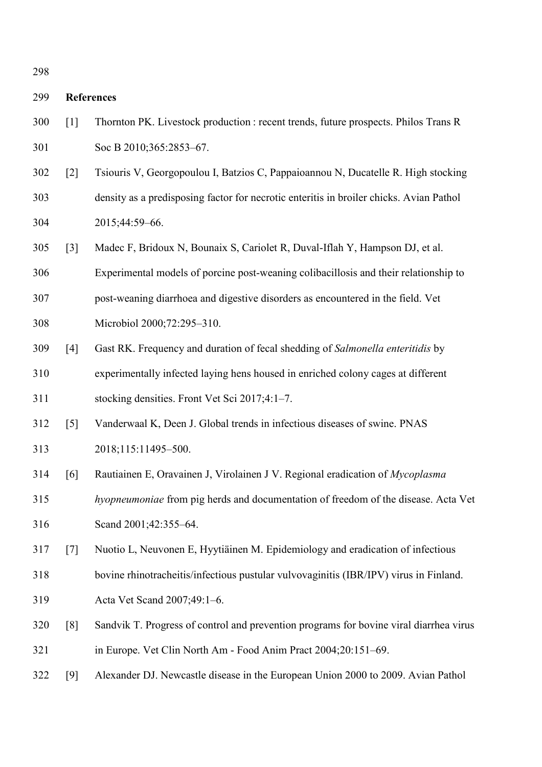# **References**

- [1] Thornton PK. Livestock production : recent trends, future prospects. Philos Trans R 301 Soc B 2010;365:2853-67.
- [2] Tsiouris V, Georgopoulou I, Batzios C, Pappaioannou N, Ducatelle R. High stocking density as a predisposing factor for necrotic enteritis in broiler chicks. Avian Pathol 2015;44:59–66.
- [3] Madec F, Bridoux N, Bounaix S, Cariolet R, Duval-Iflah Y, Hampson DJ, et al.
- Experimental models of porcine post-weaning colibacillosis and their relationship to
- post-weaning diarrhoea and digestive disorders as encountered in the field. Vet
- Microbiol 2000;72:295–310.
- [4] Gast RK. Frequency and duration of fecal shedding of *Salmonella enteritidis* by experimentally infected laying hens housed in enriched colony cages at different
- stocking densities. Front Vet Sci 2017;4:1–7.
- [5] Vanderwaal K, Deen J. Global trends in infectious diseases of swine. PNAS 2018;115:11495–500.
- [6] Rautiainen E, Oravainen J, Virolainen J V. Regional eradication of *Mycoplasma*
- *hyopneumoniae* from pig herds and documentation of freedom of the disease. Acta Vet Scand 2001;42:355–64.
- [7] Nuotio L, Neuvonen E, Hyytiäinen M. Epidemiology and eradication of infectious
- bovine rhinotracheitis/infectious pustular vulvovaginitis (IBR/IPV) virus in Finland.
- Acta Vet Scand 2007;49:1–6.
- [8] Sandvik T. Progress of control and prevention programs for bovine viral diarrhea virus in Europe. Vet Clin North Am - Food Anim Pract 2004;20:151–69.
- [9] Alexander DJ. Newcastle disease in the European Union 2000 to 2009. Avian Pathol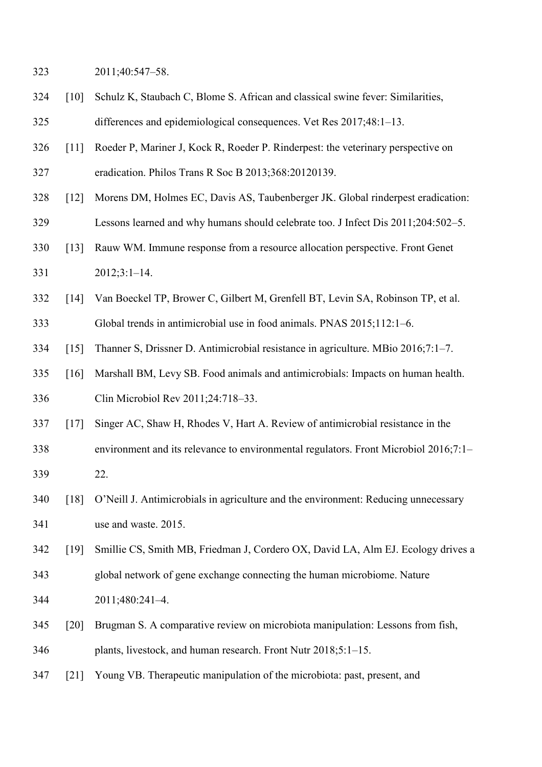2011;40:547–58.

- [10] Schulz K, Staubach C, Blome S. African and classical swine fever: Similarities, differences and epidemiological consequences. Vet Res 2017;48:1–13.
- [11] Roeder P, Mariner J, Kock R, Roeder P. Rinderpest: the veterinary perspective on eradication. Philos Trans R Soc B 2013;368:20120139.
- [12] Morens DM, Holmes EC, Davis AS, Taubenberger JK. Global rinderpest eradication:
- Lessons learned and why humans should celebrate too. J Infect Dis 2011;204:502–5.
- [13] Rauw WM. Immune response from a resource allocation perspective. Front Genet
- 2012;3:1–14.
- [14] Van Boeckel TP, Brower C, Gilbert M, Grenfell BT, Levin SA, Robinson TP, et al. Global trends in antimicrobial use in food animals. PNAS 2015;112:1–6.
- [15] Thanner S, Drissner D. Antimicrobial resistance in agriculture. MBio 2016;7:1–7.
- [16] Marshall BM, Levy SB. Food animals and antimicrobials: Impacts on human health. Clin Microbiol Rev 2011;24:718–33.
- [17] Singer AC, Shaw H, Rhodes V, Hart A. Review of antimicrobial resistance in the
- environment and its relevance to environmental regulators. Front Microbiol 2016;7:1– 22.
- [18] O'Neill J. Antimicrobials in agriculture and the environment: Reducing unnecessary use and waste. 2015.
- [19] Smillie CS, Smith MB, Friedman J, Cordero OX, David LA, Alm EJ. Ecology drives a global network of gene exchange connecting the human microbiome. Nature
- 2011;480:241–4.
- [20] Brugman S. A comparative review on microbiota manipulation: Lessons from fish, plants, livestock, and human research. Front Nutr 2018;5:1–15.
- [21] Young VB. Therapeutic manipulation of the microbiota: past, present, and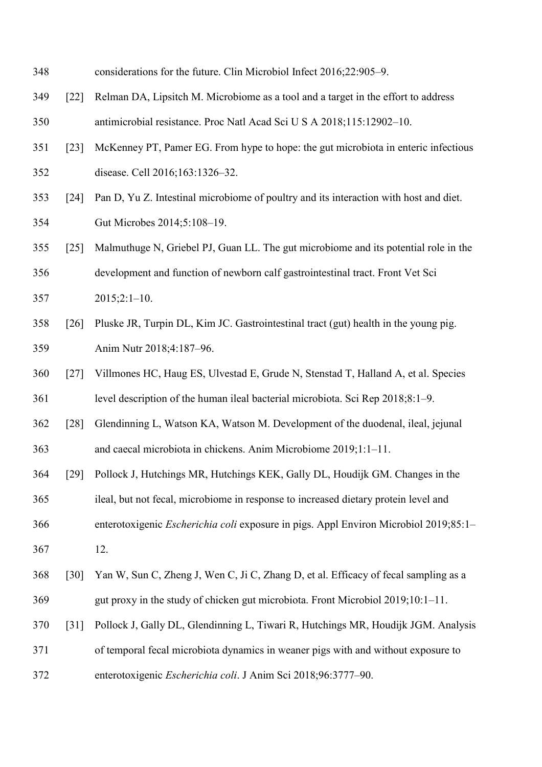- considerations for the future. Clin Microbiol Infect 2016;22:905–9.
- [22] Relman DA, Lipsitch M. Microbiome as a tool and a target in the effort to address antimicrobial resistance. Proc Natl Acad Sci U S A 2018;115:12902–10.
- [23] McKenney PT, Pamer EG. From hype to hope: the gut microbiota in enteric infectious disease. Cell 2016;163:1326–32.
- [24] Pan D, Yu Z. Intestinal microbiome of poultry and its interaction with host and diet. Gut Microbes 2014;5:108–19.
- [25] Malmuthuge N, Griebel PJ, Guan LL. The gut microbiome and its potential role in the development and function of newborn calf gastrointestinal tract. Front Vet Sci 2015;2:1–10.
- [26] Pluske JR, Turpin DL, Kim JC. Gastrointestinal tract (gut) health in the young pig. Anim Nutr 2018;4:187–96.
- [27] Villmones HC, Haug ES, Ulvestad E, Grude N, Stenstad T, Halland A, et al. Species level description of the human ileal bacterial microbiota. Sci Rep 2018;8:1–9.
- [28] Glendinning L, Watson KA, Watson M. Development of the duodenal, ileal, jejunal and caecal microbiota in chickens. Anim Microbiome 2019;1:1–11.
- [29] Pollock J, Hutchings MR, Hutchings KEK, Gally DL, Houdijk GM. Changes in the
- ileal, but not fecal, microbiome in response to increased dietary protein level and
- enterotoxigenic *Escherichia coli* exposure in pigs. Appl Environ Microbiol 2019;85:1–
- 12.
- [30] Yan W, Sun C, Zheng J, Wen C, Ji C, Zhang D, et al. Efficacy of fecal sampling as a gut proxy in the study of chicken gut microbiota. Front Microbiol 2019;10:1–11.
- 
- [31] Pollock J, Gally DL, Glendinning L, Tiwari R, Hutchings MR, Houdijk JGM. Analysis
- of temporal fecal microbiota dynamics in weaner pigs with and without exposure to
- enterotoxigenic *Escherichia coli*. J Anim Sci 2018;96:3777–90.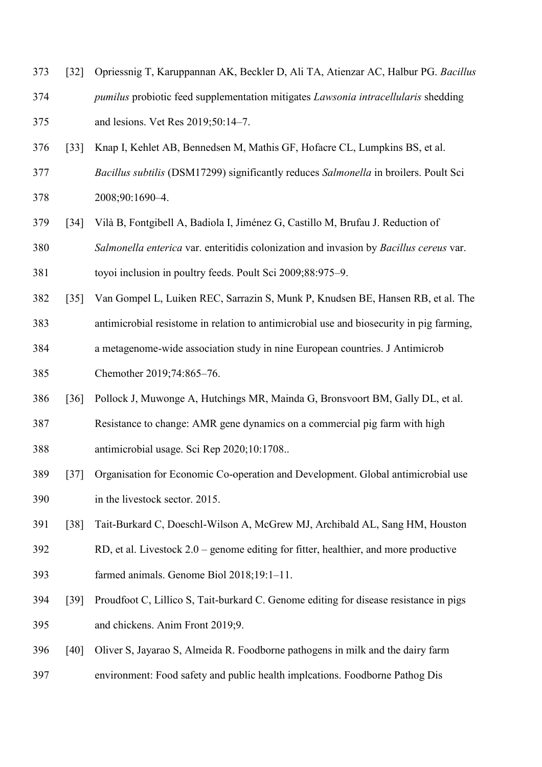- [32] Opriessnig T, Karuppannan AK, Beckler D, Ali TA, Atienzar AC, Halbur PG. *Bacillus*
- *pumilus* probiotic feed supplementation mitigates *Lawsonia intracellularis* shedding and lesions. Vet Res 2019;50:14–7.
- [33] Knap I, Kehlet AB, Bennedsen M, Mathis GF, Hofacre CL, Lumpkins BS, et al.
- *Bacillus subtilis* (DSM17299) significantly reduces *Salmonella* in broilers. Poult Sci 2008;90:1690–4.
- [34] Vilà B, Fontgibell A, Badiola I, Jiménez G, Castillo M, Brufau J. Reduction of *Salmonella enterica* var. enteritidis colonization and invasion by *Bacillus cereus* var.
- toyoi inclusion in poultry feeds. Poult Sci 2009;88:975–9.
- [35] Van Gompel L, Luiken REC, Sarrazin S, Munk P, Knudsen BE, Hansen RB, et al. The
- antimicrobial resistome in relation to antimicrobial use and biosecurity in pig farming,
- a metagenome-wide association study in nine European countries. J Antimicrob
- Chemother 2019;74:865–76.
- [36] Pollock J, Muwonge A, Hutchings MR, Mainda G, Bronsvoort BM, Gally DL, et al.
- Resistance to change: AMR gene dynamics on a commercial pig farm with high antimicrobial usage. Sci Rep 2020;10:1708..
- [37] Organisation for Economic Co-operation and Development. Global antimicrobial use in the livestock sector. 2015.
- [38] Tait-Burkard C, Doeschl-Wilson A, McGrew MJ, Archibald AL, Sang HM, Houston
- RD, et al. Livestock 2.0 genome editing for fitter, healthier, and more productive farmed animals. Genome Biol 2018;19:1–11.
- [39] Proudfoot C, Lillico S, Tait-burkard C. Genome editing for disease resistance in pigs and chickens. Anim Front 2019;9.
- [40] Oliver S, Jayarao S, Almeida R. Foodborne pathogens in milk and the dairy farm
- environment: Food safety and public health implcations. Foodborne Pathog Dis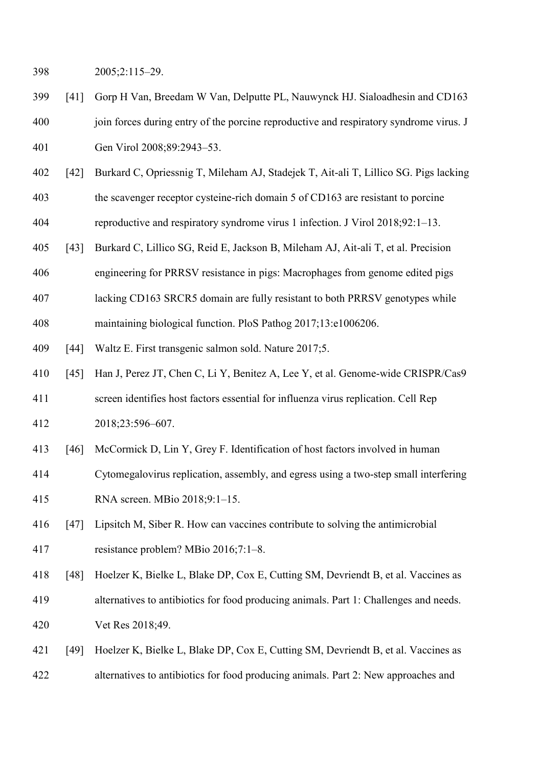2005;2:115–29.

- [41] Gorp H Van, Breedam W Van, Delputte PL, Nauwynck HJ. Sialoadhesin and CD163 join forces during entry of the porcine reproductive and respiratory syndrome virus. J Gen Virol 2008;89:2943–53.
- [42] Burkard C, Opriessnig T, Mileham AJ, Stadejek T, Ait-ali T, Lillico SG. Pigs lacking
- the scavenger receptor cysteine-rich domain 5 of CD163 are resistant to porcine
- reproductive and respiratory syndrome virus 1 infection. J Virol 2018;92:1–13.
- [43] Burkard C, Lillico SG, Reid E, Jackson B, Mileham AJ, Ait-ali T, et al. Precision
- engineering for PRRSV resistance in pigs: Macrophages from genome edited pigs
- lacking CD163 SRCR5 domain are fully resistant to both PRRSV genotypes while
- maintaining biological function. PloS Pathog 2017;13:e1006206.
- 409 [44] Waltz E. First transgenic salmon sold. Nature 2017;5.
- [45] Han J, Perez JT, Chen C, Li Y, Benitez A, Lee Y, et al. Genome-wide CRISPR/Cas9
- screen identifies host factors essential for influenza virus replication. Cell Rep 2018;23:596–607.
- [46] McCormick D, Lin Y, Grey F. Identification of host factors involved in human
- Cytomegalovirus replication, assembly, and egress using a two-step small interfering
- RNA screen. MBio 2018;9:1–15.
- [47] Lipsitch M, Siber R. How can vaccines contribute to solving the antimicrobial resistance problem? MBio 2016;7:1–8.
- [48] Hoelzer K, Bielke L, Blake DP, Cox E, Cutting SM, Devriendt B, et al. Vaccines as alternatives to antibiotics for food producing animals. Part 1: Challenges and needs. Vet Res 2018;49.
- [49] Hoelzer K, Bielke L, Blake DP, Cox E, Cutting SM, Devriendt B, et al. Vaccines as alternatives to antibiotics for food producing animals. Part 2: New approaches and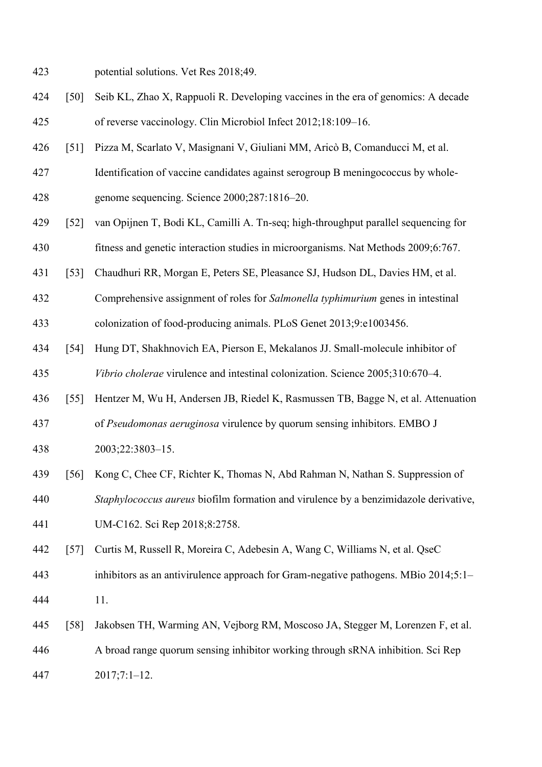- potential solutions. Vet Res 2018;49.
- [50] Seib KL, Zhao X, Rappuoli R. Developing vaccines in the era of genomics: A decade of reverse vaccinology. Clin Microbiol Infect 2012;18:109–16.
- [51] Pizza M, Scarlato V, Masignani V, Giuliani MM, Aricò B, Comanducci M, et al.
- Identification of vaccine candidates against serogroup B meningococcus by whole-
- genome sequencing. Science 2000;287:1816–20.
- [52] van Opijnen T, Bodi KL, Camilli A. Tn-seq; high-throughput parallel sequencing for
- fitness and genetic interaction studies in microorganisms. Nat Methods 2009;6:767.
- [53] Chaudhuri RR, Morgan E, Peters SE, Pleasance SJ, Hudson DL, Davies HM, et al.
- Comprehensive assignment of roles for *Salmonella typhimurium* genes in intestinal colonization of food-producing animals. PLoS Genet 2013;9:e1003456.
- [54] Hung DT, Shakhnovich EA, Pierson E, Mekalanos JJ. Small-molecule inhibitor of *Vibrio cholerae* virulence and intestinal colonization. Science 2005;310:670–4.
- [55] Hentzer M, Wu H, Andersen JB, Riedel K, Rasmussen TB, Bagge N, et al. Attenuation
- of *Pseudomonas aeruginosa* virulence by quorum sensing inhibitors. EMBO J
- 2003;22:3803–15.
- [56] Kong C, Chee CF, Richter K, Thomas N, Abd Rahman N, Nathan S. Suppression of
- *Staphylococcus aureus* biofilm formation and virulence by a benzimidazole derivative,
- UM-C162. Sci Rep 2018;8:2758.
- [57] Curtis M, Russell R, Moreira C, Adebesin A, Wang C, Williams N, et al. QseC
- inhibitors as an antivirulence approach for Gram-negative pathogens. MBio 2014;5:1–
- 11.
- [58] Jakobsen TH, Warming AN, Vejborg RM, Moscoso JA, Stegger M, Lorenzen F, et al.
- A broad range quorum sensing inhibitor working through sRNA inhibition. Sci Rep
- 2017;7:1–12.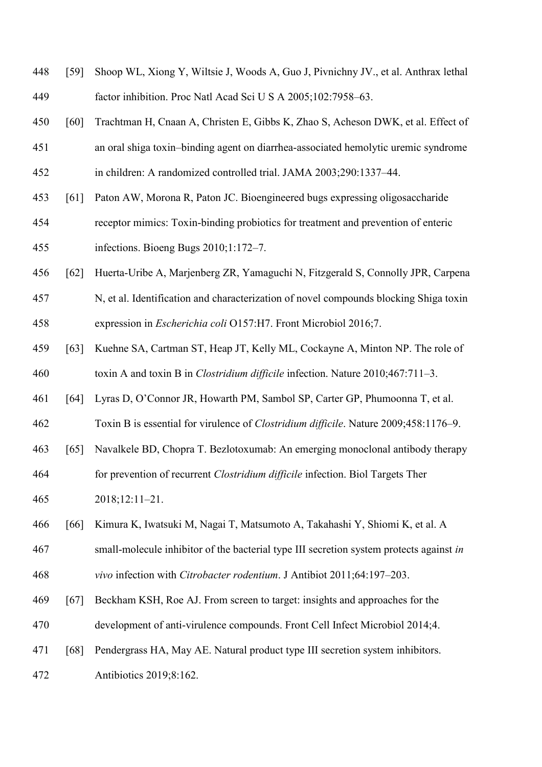- [59] Shoop WL, Xiong Y, Wiltsie J, Woods A, Guo J, Pivnichny JV., et al. Anthrax lethal factor inhibition. Proc Natl Acad Sci U S A 2005;102:7958–63.
- [60] Trachtman H, Cnaan A, Christen E, Gibbs K, Zhao S, Acheson DWK, et al. Effect of
- an oral shiga toxin–binding agent on diarrhea-associated hemolytic uremic syndrome in children: A randomized controlled trial. JAMA 2003;290:1337–44.
- [61] Paton AW, Morona R, Paton JC. Bioengineered bugs expressing oligosaccharide
- receptor mimics: Toxin-binding probiotics for treatment and prevention of enteric infections. Bioeng Bugs 2010;1:172–7.
- [62] Huerta-Uribe A, Marjenberg ZR, Yamaguchi N, Fitzgerald S, Connolly JPR, Carpena
- N, et al. Identification and characterization of novel compounds blocking Shiga toxin expression in *Escherichia coli* O157:H7. Front Microbiol 2016;7.
- [63] Kuehne SA, Cartman ST, Heap JT, Kelly ML, Cockayne A, Minton NP. The role of toxin A and toxin B in *Clostridium difficile* infection. Nature 2010;467:711–3.
- [64] Lyras D, O'Connor JR, Howarth PM, Sambol SP, Carter GP, Phumoonna T, et al.
- Toxin B is essential for virulence of *Clostridium difficile*. Nature 2009;458:1176–9.
- [65] Navalkele BD, Chopra T. Bezlotoxumab: An emerging monoclonal antibody therapy
- for prevention of recurrent *Clostridium difficile* infection. Biol Targets Ther
- 2018;12:11–21.
- [66] Kimura K, Iwatsuki M, Nagai T, Matsumoto A, Takahashi Y, Shiomi K, et al. A
- small-molecule inhibitor of the bacterial type III secretion system protects against *in*
- *vivo* infection with *Citrobacter rodentium*. J Antibiot 2011;64:197–203.
- [67] Beckham KSH, Roe AJ. From screen to target: insights and approaches for the development of anti-virulence compounds. Front Cell Infect Microbiol 2014;4.
- [68] Pendergrass HA, May AE. Natural product type III secretion system inhibitors.
- Antibiotics 2019;8:162.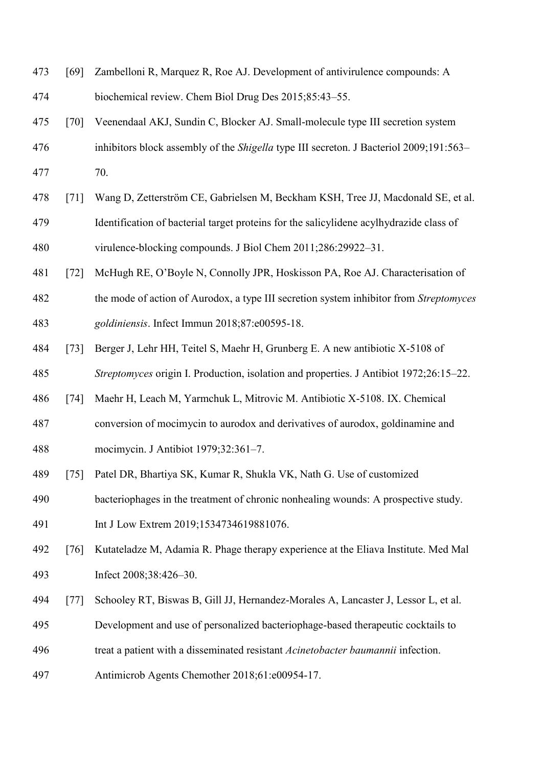- [69] Zambelloni R, Marquez R, Roe AJ. Development of antivirulence compounds: A biochemical review. Chem Biol Drug Des 2015;85:43–55. [70] Veenendaal AKJ, Sundin C, Blocker AJ. Small-molecule type III secretion system
- inhibitors block assembly of the *Shigella* type III secreton. J Bacteriol 2009;191:563– 70.
- [71] Wang D, Zetterström CE, Gabrielsen M, Beckham KSH, Tree JJ, Macdonald SE, et al. Identification of bacterial target proteins for the salicylidene acylhydrazide class of virulence-blocking compounds. J Biol Chem 2011;286:29922–31.
- [72] McHugh RE, O'Boyle N, Connolly JPR, Hoskisson PA, Roe AJ. Characterisation of
- the mode of action of Aurodox, a type III secretion system inhibitor from *Streptomyces goldiniensis*. Infect Immun 2018;87:e00595-18.
- [73] Berger J, Lehr HH, Teitel S, Maehr H, Grunberg E. A new antibiotic X-5108 of *Streptomyces* origin I. Production, isolation and properties. J Antibiot 1972;26:15–22.
- [74] Maehr H, Leach M, Yarmchuk L, Mitrovic M. Antibiotic X-5108. IX. Chemical
- conversion of mocimycin to aurodox and derivatives of aurodox, goldinamine and mocimycin. J Antibiot 1979;32:361–7.
- [75] Patel DR, Bhartiya SK, Kumar R, Shukla VK, Nath G. Use of customized
- bacteriophages in the treatment of chronic nonhealing wounds: A prospective study.
- 491 Int J Low Extrem 2019;1534734619881076.
- [76] Kutateladze M, Adamia R. Phage therapy experience at the Eliava Institute. Med Mal Infect 2008;38:426–30.
- [77] Schooley RT, Biswas B, Gill JJ, Hernandez-Morales A, Lancaster J, Lessor L, et al.
- Development and use of personalized bacteriophage-based therapeutic cocktails to
- treat a patient with a disseminated resistant *Acinetobacter baumannii* infection.
- Antimicrob Agents Chemother 2018;61:e00954-17.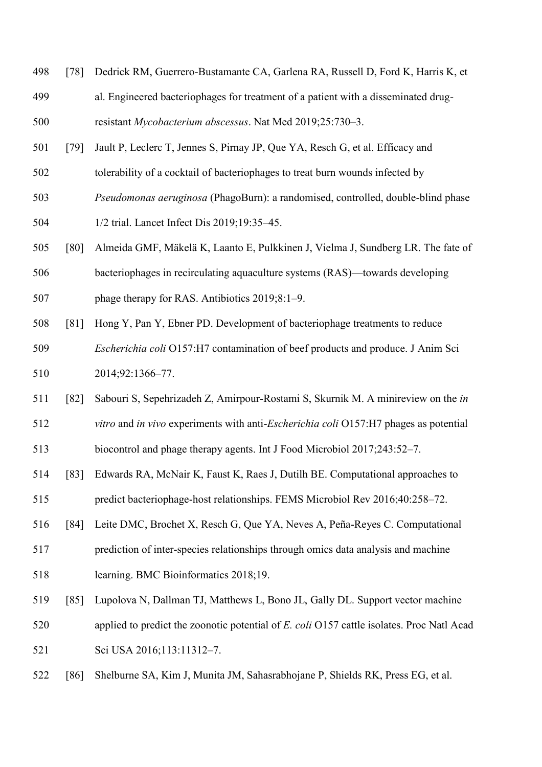- [78] Dedrick RM, Guerrero-Bustamante CA, Garlena RA, Russell D, Ford K, Harris K, et
- al. Engineered bacteriophages for treatment of a patient with a disseminated drug-resistant *Mycobacterium abscessus*. Nat Med 2019;25:730–3.
- [79] Jault P, Leclerc T, Jennes S, Pirnay JP, Que YA, Resch G, et al. Efficacy and
- tolerability of a cocktail of bacteriophages to treat burn wounds infected by
- *Pseudomonas aeruginosa* (PhagoBurn): a randomised, controlled, double-blind phase
- 1/2 trial. Lancet Infect Dis 2019;19:35–45.
- [80] Almeida GMF, Mäkelä K, Laanto E, Pulkkinen J, Vielma J, Sundberg LR. The fate of
- bacteriophages in recirculating aquaculture systems (RAS)—towards developing phage therapy for RAS. Antibiotics 2019;8:1–9.
- [81] Hong Y, Pan Y, Ebner PD. Development of bacteriophage treatments to reduce
- *Escherichia coli* O157:H7 contamination of beef products and produce. J Anim Sci 2014;92:1366–77.
- [82] Sabouri S, Sepehrizadeh Z, Amirpour-Rostami S, Skurnik M. A minireview on the *in vitro* and *in vivo* experiments with anti-*Escherichia coli* O157:H7 phages as potential
- biocontrol and phage therapy agents. Int J Food Microbiol 2017;243:52–7.
- [83] Edwards RA, McNair K, Faust K, Raes J, Dutilh BE. Computational approaches to predict bacteriophage-host relationships. FEMS Microbiol Rev 2016;40:258–72.
- [84] Leite DMC, Brochet X, Resch G, Que YA, Neves A, Peña-Reyes C. Computational
- prediction of inter-species relationships through omics data analysis and machine
- learning. BMC Bioinformatics 2018;19.
- [85] Lupolova N, Dallman TJ, Matthews L, Bono JL, Gally DL. Support vector machine
- applied to predict the zoonotic potential of *E. coli* O157 cattle isolates. Proc Natl Acad Sci USA 2016;113:11312–7.
- [86] Shelburne SA, Kim J, Munita JM, Sahasrabhojane P, Shields RK, Press EG, et al.